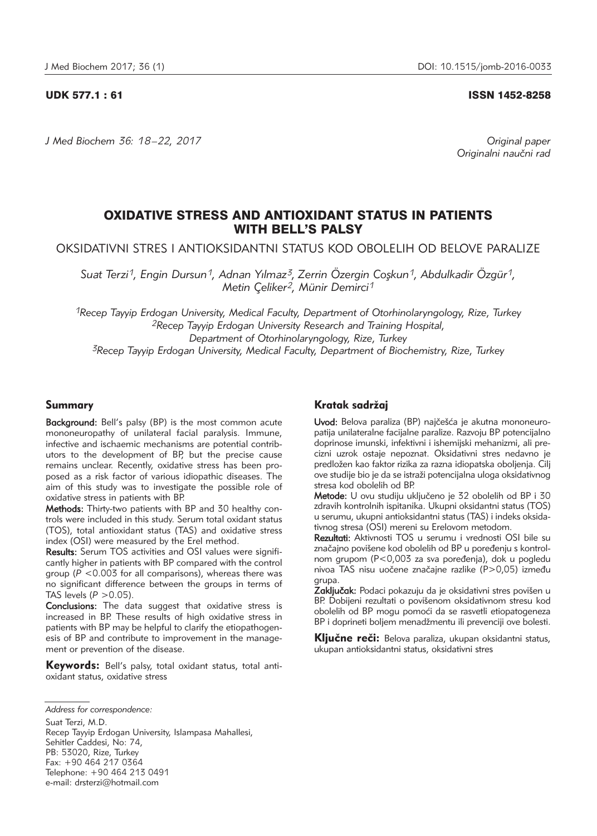*J Med Biochem 36: 18 –22, 2017 Original paper*

UDK 577.1 : 61 ISSN 1452-8258

Originalni naučni rad

# OXIDATIVE STRESS AND ANTIOXIDANT STATUS IN PATIENTS WITH BELL'S PALSY

OKSIDATIVNI STRES I ANTIOKSIDANTNI STATUS KOD OBOLELIH OD BELOVE PARALIZE

Suat Terzi<sup>1</sup>, Engin Dursun<sup>1</sup>, Adnan Yılmaz<sup>3</sup>, Zerrin Özergin Coskun<sup>1</sup>, Abdulkadir Özgür<sup>1</sup>, *Metin Çeliker2, Münir Demirci1*

*1Recep Tayyip Erdogan University, Medical Faculty, Department of Otorhinolaryngology, Rize, Turkey 2Recep Tayyip Erdogan University Research and Training Hospital, Department of Otorhinolaryngology, Rize, Turkey 3Recep Tayyip Erdogan University, Medical Faculty, Department of Biochemistry, Rize, Turkey*

# Summary

Background: Bell's palsy (BP) is the most common acute mononeuropathy of unilateral facial paralysis. Immune, infective and ischaemic mechanisms are potential contributors to the development of BP, but the precise cause remains unclear. Recently, oxidative stress has been proposed as a risk factor of various idiopathic diseases. The aim of this study was to investigate the possible role of oxidative stress in patients with BP.

Methods: Thirty-two patients with BP and 30 healthy controls were included in this study. Serum total oxidant status (TOS), total antioxidant status (TAS) and oxidative stress index (OSI) were measured by the Erel method.

Results: Serum TOS activities and OSI values were significantly higher in patients with BP compared with the control group (*P* <0.003 for all comparisons), whereas there was no significant difference between the groups in terms of TAS levels  $(P > 0.05)$ .

Conclusions: The data suggest that oxidative stress is increased in BP. These results of high oxidative stress in patients with BP may be helpful to clarify the etiopathogenesis of BP and contribute to improvement in the management or prevention of the disease.

Keywords: Bell's palsy, total oxidant status, total antioxidant status, oxidative stress

Suat Terzi, M.D. Recep Tayyip Erdogan University, Islampasa Mahallesi, Sehitler Caddesi, No: 74, PB: 53020, Rize, Turkey Fax: +90 464 217 0364 Telephone: +90 464 213 0491 e-mail: drsterzi@hotmail.com

# Kratak sadržaj

Uvod: Belova paraliza (BP) najčešća je akutna mononeuropatija unilateralne facijalne paralize. Razvoju BP potencijalno doprinose imunski, infektivni i ishemijski mehanizmi, ali precizni uzrok ostaje nepoznat. Oksidativni stres nedavno je predložen kao faktor rizika za razna idiopatska oboljenja. Cilj ove studije bio je da se istraži potencijalna uloga oksidativnog stresa kod obolelih od BP.

Metode: U ovu studiju uključeno je 32 obolelih od BP i 30 zdravih kontrolnih ispitanika. Ukupni oksidantni status (TOS) u serumu, ukupni antioksidantni status (TAS) i indeks oksidativnog stresa (OSI) mereni su Erelovom metodom.

Rezultati: Aktivnosti TOS u serumu i vrednosti OSI bile su značajno povišene kod obolelih od BP u poređenju s kontrolnom grupom (P<0,003 za sva poređenja), dok u pogledu nivoa TAS nisu uočene značajne razlike (P>0,05) između grupa.

Zaključak: Podaci pokazuju da je oksidativni stres povišen u BP. Dobijeni rezultati o povišenom oksidativnom stresu kod obolelih od BP mogu pomoći da se rasvetli etiopatogeneza BP i doprineti boljem menadžmentu ili prevenciji ove bolesti.

Kliučne reči: Belova paraliza, ukupan oksidantni status, ukupan antioksidantni status, oksidativni stres

*Address for correspondence:*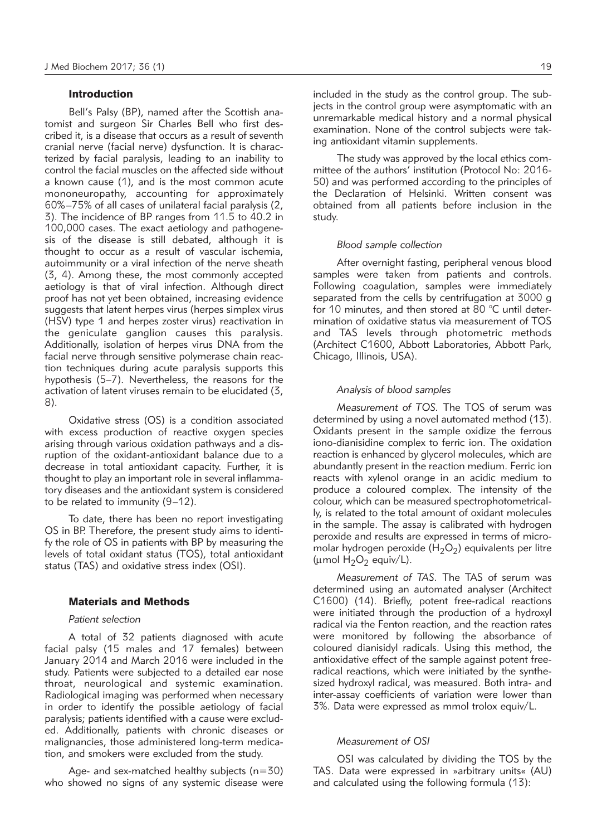# Introduction

Bell's Palsy (BP), named after the Scottish anatomist and surgeon Sir Charles Bell who first described it, is a disease that occurs as a result of seventh cranial nerve (facial nerve) dysfunction. It is characterized by facial paralysis, leading to an inability to control the facial muscles on the affected side without a known cause (1), and is the most common acute mononeuropathy, accounting for approximately 60%–75% of all cases of unilateral facial paralysis (2, 3). The incidence of BP ranges from 11.5 to 40.2 in 100,000 cases. The exact aetiology and pathogenesis of the disease is still debated, although it is thought to occur as a result of vascular ischemia, autoimmunity or a viral infection of the nerve sheath (3, 4). Among these, the most commonly accepted aetiology is that of viral infection. Although direct proof has not yet been obtained, increasing evidence suggests that latent herpes virus (herpes simplex virus (HSV) type 1 and herpes zoster virus) reactivation in the geniculate ganglion causes this paralysis. Additionally, isolation of herpes virus DNA from the facial nerve through sensitive polymerase chain reaction techniques during acute paralysis supports this hypothesis (5–7). Nevertheless, the reasons for the activation of latent viruses remain to be elucidated (3, 8).

Oxidative stress (OS) is a condition associated with excess production of reactive oxygen species arising through various oxidation pathways and a disruption of the oxidant-antioxidant balance due to a decrease in total antioxidant capacity. Further, it is thought to play an important role in several inflammatory diseases and the antioxidant system is considered to be related to immunity (9–12).

To date, there has been no report investigating OS in BP. Therefore, the present study aims to identify the role of OS in patients with BP by measuring the levels of total oxidant status (TOS), total antioxidant status (TAS) and oxidative stress index (OSI).

#### Materials and Methods

## *Patient selection*

A total of 32 patients diagnosed with acute facial palsy (15 males and 17 females) between January 2014 and March 2016 were included in the study. Patients were subjected to a detailed ear nose throat, neurological and systemic examination. Radiological imaging was performed when necessary in order to identify the possible aetiology of facial paralysis; patients identified with a cause were excluded. Additionally, patients with chronic diseases or malignancies, those administered long-term medication, and smokers were excluded from the study.

Age- and sex-matched healthy subjects  $(n=30)$ who showed no signs of any systemic disease were included in the study as the control group. The subjects in the control group were asymptomatic with an unremarkable medical history and a normal physical examination. None of the control subjects were taking antioxidant vitamin supplements.

The study was approved by the local ethics committee of the authors' institution (Protocol No: 2016- 50) and was performed according to the principles of the Declaration of Helsinki. Written consent was obtained from all patients before inclusion in the study.

#### *Blood sample collection*

After overnight fasting, peripheral venous blood samples were taken from patients and controls. Following coagulation, samples were immediately separated from the cells by centrifugation at 3000 g for 10 minutes, and then stored at 80 °C until determination of oxidative status via measurement of TOS and TAS levels through photometric methods (Architect C1600, Abbott Laboratories, Abbott Park, Chicago, Illinois, USA).

#### *Analysis of blood samples*

*Measurement of TOS.* The TOS of serum was determined by using a novel automated method (13). Oxidants present in the sample oxidize the ferrous iono-dianisidine complex to ferric ion. The oxidation reaction is enhanced by glycerol molecules, which are abundantly present in the reaction medium. Ferric ion reacts with xylenol orange in an acidic medium to produce a coloured complex. The intensity of the colour, which can be measured spectrophotometrically, is related to the total amount of oxidant molecules in the sample. The assay is calibrated with hydrogen peroxide and results are expressed in terms of micromolar hydrogen peroxide  $(H_2O_2)$  equivalents per litre (umol  $H_2O_2$  equiv/L).

*Measurement of TAS.* The TAS of serum was determined using an automated analyser (Architect C1600) (14). Briefly, potent free-radical reactions were initiated through the production of a hydroxyl radical via the Fenton reaction, and the reaction rates were monitored by following the absorbance of coloured dianisidyl radicals. Using this method, the antioxidative effect of the sample against potent freeradical reactions, which were initiated by the synthesized hydroxyl radical, was measured. Both intra- and inter-assay coefficients of variation were lower than 3%. Data were expressed as mmol trolox equiv/L.

# *Measurement of OSI*

OSI was calculated by dividing the TOS by the TAS. Data were expressed in »arbitrary units« (AU) and calculated using the following formula (13):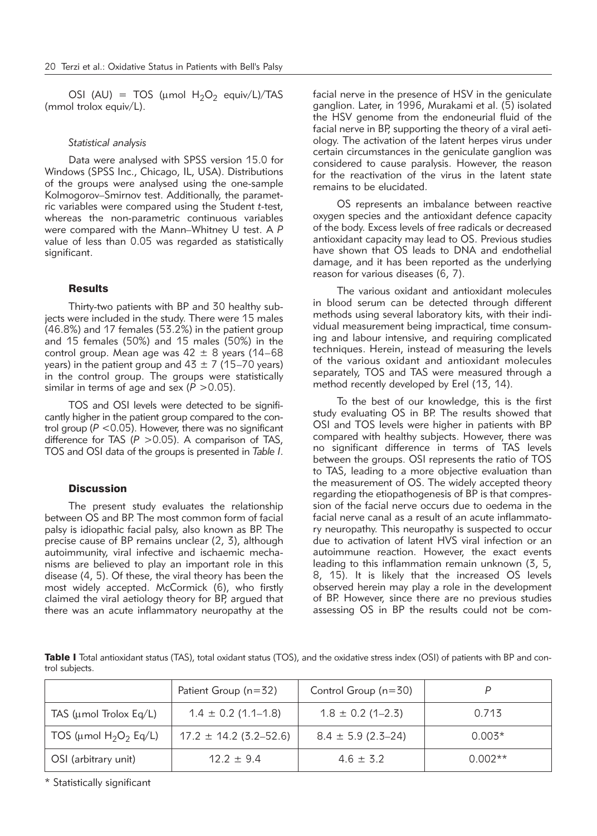OSI (AU) = TOS ( $\mu$ mol H<sub>2</sub>O<sub>2</sub> equiv/L)/TAS (mmol trolox equiv/L).

#### *Statistical analysis*

Data were analysed with SPSS version 15.0 for Windows (SPSS Inc., Chicago, IL, USA). Distributions of the groups were analysed using the one-sample Kolmogorov–Smirnov test. Additionally, the parametric variables were compared using the Student *t*-test, whereas the non-parametric continuous variables were compared with the Mann–Whitney U test. A *P* value of less than 0.05 was regarded as statistically significant.

# **Results**

Thirty-two patients with BP and 30 healthy subjects were included in the study. There were 15 males (46.8%) and 17 females (53.2%) in the patient group and 15 females (50%) and 15 males (50%) in the control group. Mean age was  $42 \pm 8$  years (14-68) years) in the patient group and  $43 \pm 7$  (15–70 years) in the control group. The groups were statistically similar in terms of age and sex  $(P > 0.05)$ .

TOS and OSI levels were detected to be significantly higher in the patient group compared to the control group (*P* <0.05). However, there was no significant difference for TAS (P > 0.05). A comparison of TAS, TOS and OSI data of the groups is presented in *Table I*.

# **Discussion**

The present study evaluates the relationship between OS and BP. The most common form of facial palsy is idiopathic facial palsy, also known as BP. The precise cause of BP remains unclear (2, 3), although autoimmunity, viral infective and ischaemic mechanisms are believed to play an important role in this disease (4, 5). Of these, the viral theory has been the most widely accepted. McCormick (6), who firstly claimed the viral aetiology theory for BP, argued that there was an acute inflammatory neuropathy at the facial nerve in the presence of HSV in the geniculate ganglion. Later, in 1996, Murakami et al. (5) isolated the HSV genome from the endoneurial fluid of the facial nerve in BP, supporting the theory of a viral aetiology. The activation of the latent herpes virus under certain circumstances in the geniculate ganglion was considered to cause paralysis. However, the reason for the reactivation of the virus in the latent state remains to be elucidated.

OS represents an imbalance between reactive oxygen species and the antioxidant defence capacity of the body. Excess levels of free radicals or decreased antioxidant capacity may lead to OS. Previous studies have shown that OS leads to DNA and endothelial damage, and it has been reported as the underlying reason for various diseases (6, 7).

The various oxidant and antioxidant molecules in blood serum can be detected through different methods using several laboratory kits, with their individual measurement being impractical, time consuming and labour intensive, and requiring complicated techniques. Herein, instead of measuring the levels of the various oxidant and antioxidant molecules separately, TOS and TAS were measured through a method recently developed by Erel (13, 14).

To the best of our knowledge, this is the first study evaluating OS in BP. The results showed that OSI and TOS levels were higher in patients with BP compared with healthy subjects. However, there was no significant difference in terms of TAS levels between the groups. OSI represents the ratio of TOS to TAS, leading to a more objective evaluation than the measurement of OS. The widely accepted theory regarding the etiopathogenesis of BP is that compression of the facial nerve occurs due to oedema in the facial nerve canal as a result of an acute inflammatory neuropathy. This neuropathy is suspected to occur due to activation of latent HVS viral infection or an autoimmune reaction. However, the exact events leading to this inflammation remain unknown (3, 5, 8, 15). It is likely that the increased OS levels observed herein may play a role in the development of BP. However, since there are no previous studies assessing OS in BP the results could not be com-

Table I Total antioxidant status (TAS), total oxidant status (TOS), and the oxidative stress index (OSI) of patients with BP and control subjects.

|                              | Patient Group (n=32)       | Control Group ( $n=30$ ) |           |
|------------------------------|----------------------------|--------------------------|-----------|
| TAS ( $\mu$ mol Trolox Eq/L) | $1.4 \pm 0.2$ (1.1–1.8)    | $1.8 \pm 0.2$ (1-2.3)    | 0.713     |
| TOS (µmol $H_2O_2$ Eq/L)     | $17.2 \pm 14.2$ (3.2–52.6) | $8.4 \pm 5.9$ (2.3-24)   | $0.003*$  |
| OSI (arbitrary unit)         | $12.2 + 9.4$               | $4.6 \pm 3.2$            | $0.002**$ |

\* Statistically significant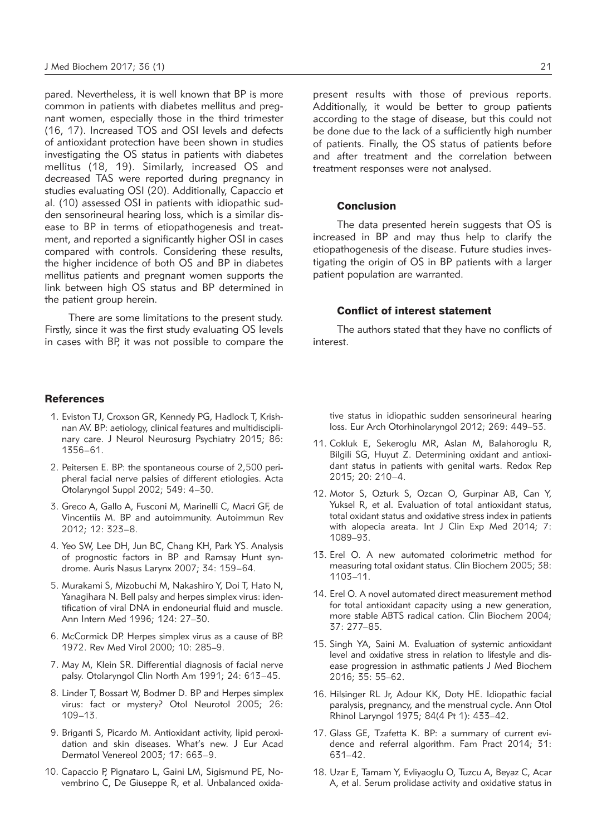pared. Nevertheless, it is well known that BP is more common in patients with diabetes mellitus and pregnant women, especially those in the third trimester (16, 17). Increased TOS and OSI levels and defects of antioxidant protection have been shown in studies investigating the OS status in patients with diabetes mellitus (18, 19). Similarly, increased OS and decreased TAS were reported during pregnancy in studies evaluating OSI (20). Additionally, Capaccio et al. (10) assessed OSI in patients with idiopathic sudden sensorineural hearing loss, which is a similar disease to BP in terms of etiopathogenesis and treatment, and reported a significantly higher OSI in cases compared with controls. Considering these results, the higher incidence of both OS and BP in diabetes mellitus patients and pregnant women supports the link between high OS status and BP determined in the patient group herein.

There are some limitations to the present study. Firstly, since it was the first study evaluating OS levels in cases with BP, it was not possible to compare the

### **References**

- 1. Eviston TJ, Croxson GR, Kennedy PG, Hadlock T, Krishnan AV. BP: aetiology, clinical features and multidisciplinary care. J Neurol Neurosurg Psychiatry 2015; 86: 1356–61.
- 2. Peitersen E. BP: the spontaneous course of 2,500 peri pheral facial nerve palsies of different etiologies. Acta Otolaryngol Suppl 2002; 549: 4–30.
- 3. Greco A, Gallo A, Fusconi M, Marinelli C, Macri GF, de Vincentiis M. BP and autoimmunity. Autoimmun Rev 2012; 12: 323–8.
- 4. Yeo SW, Lee DH, Jun BC, Chang KH, Park YS. Analysis of prognostic factors in BP and Ramsay Hunt syndrome. Auris Nasus Larynx 2007; 34: 159–64.
- 5. Murakami S, Mizobuchi M, Nakashiro Y, Doi T, Hato N, Yanagihara N. Bell palsy and herpes simplex virus: identification of viral DNA in endoneurial fluid and muscle. Ann Intern Med 1996; 124: 27–30.
- 6. McCormick DP. Herpes simplex virus as a cause of BP. 1972. Rev Med Virol 2000; 10: 285–9.
- 7. May M, Klein SR. Differential diagnosis of facial nerve palsy. Otolaryngol Clin North Am 1991; 24: 613–45.
- 8. Linder T, Bossart W, Bodmer D. BP and Herpes simplex virus: fact or mystery? Otol Neurotol 2005; 26: 109–13.
- 9. Briganti S, Picardo M. Antioxidant activity, lipid peroxidation and skin diseases. What's new. J Eur Acad Dermatol Venereol 2003; 17: 663–9.
- 10. Capaccio P, Pignataro L, Gaini LM, Sigismund PE, Novembrino C, De Giuseppe R, et al. Unbalanced oxida-

present results with those of previous reports. Additionally, it would be better to group patients according to the stage of disease, but this could not be done due to the lack of a sufficiently high number of patients. Finally, the OS status of patients before and after treatment and the correlation between treatment responses were not analysed.

# Conclusion

The data presented herein suggests that OS is increased in BP and may thus help to clarify the etiopathogenesis of the disease. Future studies investigating the origin of OS in BP patients with a larger patient population are warranted.

# Conflict of interest statement

The authors stated that they have no conflicts of interest.

tive status in idiopathic sudden sensorineural hearing loss. Eur Arch Otorhinolaryngol 2012; 269: 449–53.

- 11. Cokluk E, Sekeroglu MR, Aslan M, Balahoroglu R, Bilgili SG, Huyut Z. Determining oxidant and antioxidant status in patients with genital warts. Redox Rep 2015; 20: 210–4.
- 12. Motor S, Ozturk S, Ozcan O, Gurpinar AB, Can Y, Yuksel R, et al. Evaluation of total antioxidant status, total oxidant status and oxidative stress index in patients with alopecia areata. Int J Clin Exp Med 2014; 7: 1089–93.
- 13. Erel O. A new automated colorimetric method for measuring total oxidant status. Clin Biochem 2005; 38: 1103–11.
- 14. Erel O. A novel automated direct measurement method for total antioxidant capacity using a new generation, more stable ABTS radical cation. Clin Biochem 2004; 37: 277–85.
- 15. Singh YA, Saini M. Evaluation of systemic antioxidant level and oxidative stress in relation to lifestyle and disease progression in asthmatic patients J Med Biochem 2016; 35: 55–62.
- 16. Hilsinger RL Jr, Adour KK, Doty HE. Idiopathic facial paralysis, pregnancy, and the menstrual cycle. Ann Otol Rhinol Laryngol 1975; 84(4 Pt 1): 433–42.
- 17. Glass GE, Tzafetta K. BP: a summary of current evidence and referral algorithm. Fam Pract 2014; 31: 631–42.
- 18. Uzar E, Tamam Y, Evliyaoglu O, Tuzcu A, Beyaz C, Acar A, et al. Serum prolidase activity and oxidative status in